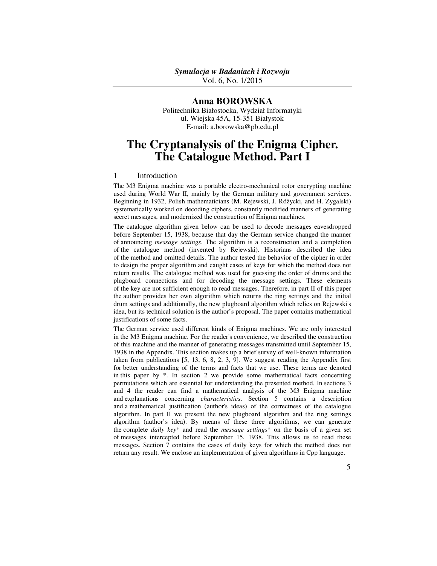Vol. 6, No. 1/2015

# **Anna BOROWSKA**

Politechnika Białostocka, Wydział Informatyki ul. Wiejska 45A, 15-351 Białystok E-mail: a.borowska@pb.edu.pl

# **The Cryptanalysis of the Enigma Cipher. The Catalogue Method. Part I**

## 1 Introduction

The M3 Enigma machine was a portable electro-mechanical rotor encrypting machine used during World War II, mainly by the German military and government services. Beginning in 1932, Polish mathematicians (M. Rejewski, J. Różycki, and H. Zygalski) systematically worked on decoding ciphers, constantly modified manners of generating secret messages, and modernized the construction of Enigma machines.

The catalogue algorithm given below can be used to decode messages eavesdropped before September 15, 1938, because that day the German service changed the manner of announcing *message settings*. The algorithm is a reconstruction and a completion of the catalogue method (invented by Rejewski). Historians described the idea of the method and omitted details. The author tested the behavior of the cipher in order to design the proper algorithm and caught cases of keys for which the method does not return results. The catalogue method was used for guessing the order of drums and the plugboard connections and for decoding the message settings. These elements of the key are not sufficient enough to read messages. Therefore, in part II of this paper the author provides her own algorithm which returns the ring settings and the initial drum settings and additionally, the new plugboard algorithm which relies on Rejewski's idea, but its technical solution is the author's proposal. The paper contains mathematical justifications of some facts.

The German service used different kinds of Enigma machines. We are only interested in the M3 Enigma machine. For the reader's convenience, we described the construction of this machine and the manner of generating messages transmitted until September 15, 1938 in the Appendix. This section makes up a brief survey of well-known information taken from publications [5, 13, 6, 8, 2, 3, 9]. We suggest reading the Appendix first for better understanding of the terms and facts that we use. These terms are denoted in this paper by  $*$ . In section 2 we provide some mathematical facts concerning permutations which are essential for understanding the presented method. In sections 3 and 4 the reader can find a mathematical analysis of the M3 Enigma machine and explanations concerning *characteristics*. Section 5 contains a description and a mathematical justification (author's ideas) of the correctness of the catalogue algorithm. In part II we present the new plugboard algorithm and the ring settings algorithm (author's idea). By means of these three algorithms, we can generate the complete *daily key*\* and read the *message settings*\* on the basis of a given set of messages intercepted before September 15, 1938. This allows us to read these messages. Section 7 contains the cases of daily keys for which the method does not return any result. We enclose an implementation of given algorithms in Cpp language.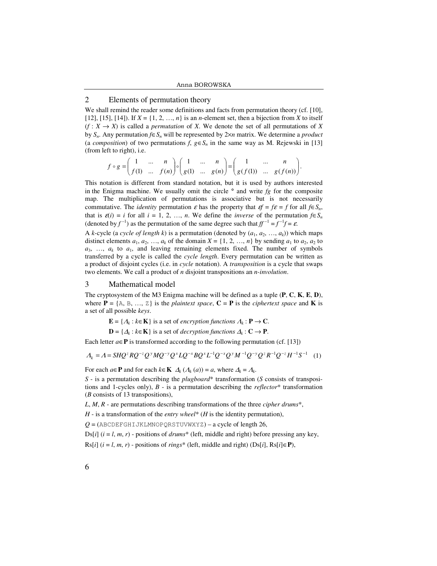# 2 Elements of permutation theory

We shall remind the reader some definitions and facts from permutation theory (cf. [10], [12], [15], [14]). If  $X = \{1, 2, ..., n\}$  is an *n*-element set, then a bijection from *X* to itself  $(f: X \rightarrow X)$  is called a *permutation* of *X*. We denote the set of all permutations of *X* by *Sn*. Any permutation *f*∈*Sn* will be represented by 2×*n* matrix. We determine a *product* (a *composition*) of two permutations  $f, g \in S_n$  in the same way as M. Rejewski in [13] (from left to right), i.e.

$$
f\circ g=\begin{pmatrix}1&\dots&n\\f(1)&\dots&f(n)\end{pmatrix}\circ\begin{pmatrix}1&\dots&n\\g(1)&\dots&g(n)\end{pmatrix}=\begin{pmatrix}1&\dots&n\\g(f(1))&\dots&g(f(n))\end{pmatrix}.
$$

This notation is different from standard notation, but it is used by authors interested in the Enigma machine. We usually omit the circle ° and write *fg* for the composite map. The multiplication of permutations is associative but is not necessarily commutative. The *identity* permutation  $\varepsilon$  has the property that  $\varepsilon f = f\varepsilon = f$  for all  $f \in S_n$ , that is  $\varepsilon(i) = i$  for all  $i = 1, 2, ..., n$ . We define the *inverse* of the permutation  $f \in S_n$ (denoted by  $f^{-1}$ ) as the permutation of the same degree such that  $ff^{-1} = f^{-1}f = \varepsilon$ .

A *k*-cycle (a *cycle of length k*) is a permutation (denoted by  $(a_1, a_2, ..., a_k)$ ) which maps distinct elements  $a_1, a_2, \ldots, a_k$  of the domain  $X = \{1, 2, \ldots, n\}$  by sending  $a_1$  to  $a_2, a_2$  to  $a_3$ , ...,  $a_k$  to  $a_1$ , and leaving remaining elements fixed. The number of symbols transferred by a cycle is called the *cycle length*. Every permutation can be written as a product of disjoint cycles (i.e. in *cycle* notation). A *transposition* is a cycle that swaps two elements. We call a product of *n* disjoint transpositions an *n-involution*.

#### 3 Mathematical model

The cryptosystem of the M3 Enigma machine will be defined as a tuple (**P**, **C**, **K**, **E**, **D**), where  $P = \{A, B, ..., Z\}$  is the *plaintext space*,  $C = P$  is the *ciphertext space* and **K** is a set of all possible *keys*.

 $\mathbf{E} = \{A_k : k \in \mathbf{K}\}\$ is a set of *encryption functions*  $A_k : \mathbf{P} \to \mathbf{C}$ .

**D** = { $\Delta_k$  :  $k \in \mathbf{K}$ } is a set of *decryption functions*  $\Delta_k$  : **C** → **P**.

Each letter  $a \in \mathbf{P}$  is transformed according to the following permutation (cf. [13])

 $A_k = A = SHQ^z RQ^{-z} Q^y MQ^{-y} Q^x LQ^{-x} BQ^x L^{-1} Q^{-x} Q^y M^{-1} Q^{-y} Q^z R^{-1} Q^{-z} H^{-1} S^{-1}$  (1)

For each  $a \in \mathbf{P}$  and for each  $k \in \mathbf{K}$   $\Delta_k (\Lambda_k (a)) = a$ , where  $\Delta_k = \Lambda_k$ .

*S* - is a permutation describing the *plugboard*\* transformation (*S* consists of transpositions and 1-cycles only), *B* - is a permutation describing the *reflector*\* transformation (*B* consists of 13 transpositions),

*L*, *M*, *R* - are permutations describing transformations of the three *cipher drums*\*,

*H* - is a transformation of the *entry wheel*\* (*H* is the identity permutation),

 $Q = (ABCDEFGHIJKLMNOPQRSTUVWXYZ) - a cycle of length 26,$ 

 $D\{s[i]$  ( $i = l, m, r$ ) - positions of *drums*<sup>\*</sup> (left, middle and right) before pressing any key,

Rs[ $i$ ] ( $i = l, m, r$ ) - positions of *rings*<sup>\*</sup> (left, middle and right) (Ds[ $i$ ], Rs[ $i$ ]∈**P**),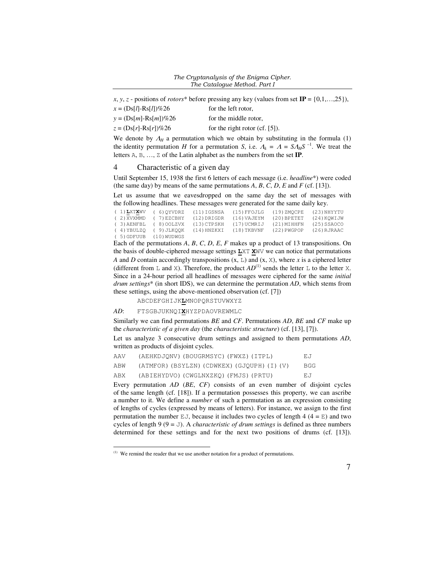*x*, *y*, *z* - positions of *rotors*\* before pressing any key (values from set  $IP = \{0,1,...,25\}$ ),

| $x = (Ds[l] - Rs[l])\%26$ | for the left rotor,               |
|---------------------------|-----------------------------------|
| $y = (Ds[m]-Rs[m])\%26$   | for the middle rotor.             |
| $z = (Ds[r]-Rs[r])\%26$   | for the right rotor $(cf. [5])$ . |

We denote by  $\Lambda_H$  a permutation which we obtain by substituting in the formula (1) the identity permutation *H* for a permutation *S*, i.e.  $A_k = A = S A_H S^{-1}$ . We treat the letters A, B, …, Z of the Latin alphabet as the numbers from the set **IP**.

## 4 Characteristic of a given day

Until September 15, 1938 the first 6 letters of each message (i.e. *headline*\*) were coded (the same day) by means of the same permutations  $A$ ,  $B$ ,  $C$ ,  $D$ ,  $E$  and  $F$  (cf. [13]).

Let us assume that we eavesdropped on the same day the set of messages with the following headlines. These messages were generated for the same daily key.

| (1)LXTXWV (6)OYVDRZ        |  | (11) IGSNSA                       | (15)FFOJLG  | (19)ZMOCPE  | (23) NHYYTU   |
|----------------------------|--|-----------------------------------|-------------|-------------|---------------|
| $(2)$ XVXMMD $(7)$ EZCBHY  |  | $(12)$ DRIGDR                     | (16) VAJEYM | (20)BPETET  | (24) KOWIJW   |
|                            |  | (3) AENFBL (8) OOLZVX (13) CTPSKH | (17)UCMRIJ  | (21)MIHHFN  | $(25)$ SSAOCO |
| (4) YBULZO (9) JLKOOK      |  | (14)HNZKXI                        | (18) TKBVNF | (22) PWGPOP | (26) RJRAAC   |
| $(5)$ GDFUUB $(10)$ WUDWGS |  |                                   |             |             |               |

Each of the permutations *A*, *B*, *C*, *D*, *E*, *F* makes up a product of 13 transpositions. On the basis of double-ciphered message settings **L**XT **X**WV we can notice that permutations *A* and *D* contain accordingly transpositions  $(x, L)$  and  $(x, X)$ , where *x* is a ciphered letter (different from  $\mathbb L$  and  $\mathbb X$ ). Therefore, the product  $AD^{(1)}$  sends the letter  $\mathbb L$  to the letter X. Since in a 24-hour period all headlines of messages were ciphered for the same *initial drum settings*\* (in short IDS), we can determine the permutation *AD*, which stems from these settings, using the above-mentioned observation (cf. [7])

ABCDEFGHIJK**L**MNOPQRSTUVWXYZ

### *AD*: FTSGBJUKNQI**X**HYZPDAOVREWMLC

l

Similarly we can find permutations *BE* and *CF*. Permutations *AD*, *BE* and *CF* make up the *characteristic of a given day* (the *characteristic structure*) (cf. [13], [7]).

Let us analyze 3 consecutive drum settings and assigned to them permutations *AD*, written as products of disjoint cycles.

| AAV | (AEHKDJQNV) (BOUGRMSYC) (FWXZ) (ITPL)       | ЕJ  |
|-----|---------------------------------------------|-----|
| ABW | (ATMFOR) (BSYLZN) (CDWKEX) (GJQUPH) (I) (V) | BGG |
| ABX | (ABIEHYDVO) (CWGLNXZKO) (FMJS) (PRTU)       | EJ  |

Every permutation *AD* (*BE*, *CF*) consists of an even number of disjoint cycles of the same length (cf. [18]). If a permutation possesses this property, we can ascribe a number to it. We define a *number* of such a permutation as an expression consisting of lengths of cycles (expressed by means of letters). For instance, we assign to the first permutation the number  $EJ$ , because it includes two cycles of length 4 (4 =  $E$ ) and two cycles of length 9 ( $9 = J$ ). A *characteristic of drum settings* is defined as three numbers determined for these settings and for the next two positions of drums (cf. [13]).

<sup>(1)</sup> We remind the reader that we use another notation for a product of permutations.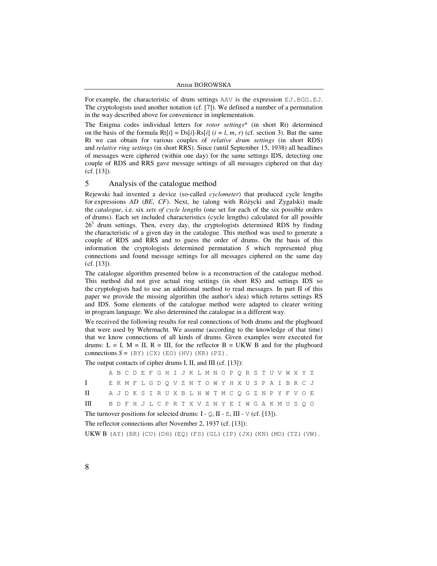For example, the characteristic of drum settings AAV is the expression EJ.BGG.EJ. The cryptologists used another notation (cf. [7]). We defined a number of a permutation in the way described above for convenience in implementation.

The Enigma codes individual letters for *rotor settings*\* (in short Rt) determined on the basis of the formula  $Rt[i] = Ds[i]-Rs[i]$  ( $i = l, m, r$ ) (cf. section 3). But the same Rt we can obtain for various couples of *relative drum settings* (in short RDS) and *relative ring settings* (in short RRS). Since (until September 15, 1938) all headlines of messages were ciphered (within one day) for the same settings IDS, detecting one couple of RDS and RRS gave message settings of all messages ciphered on that day (cf. [13]).

## 5 Analysis of the catalogue method

Rejewski had invented a device (so-called *cyclometer*) that produced cycle lengths for expressions *AD* (*BE*, *CF*). Next, he (along with Różycki and Zygalski) made the *catalogue*, i.e. six *sets of cycle lengths* (one set for each of the six possible orders of drums). Each set included characteristics (cycle lengths) calculated for all possible  $26<sup>3</sup>$  drum settings. Then, every day, the cryptologists determined RDS by finding the characteristic of a given day in the catalogue. This method was used to generate a couple of RDS and RRS and to guess the order of drums. On the basis of this information the cryptologists determined permutation *S* which represented plug connections and found message settings for all messages ciphered on the same day (cf. [13]).

The catalogue algorithm presented below is a reconstruction of the catalogue method. This method did not give actual ring settings (in short RS) and settings IDS so the cryptologists had to use an additional method to read messages. In part II of this paper we provide the missing algorithm (the author's idea) which returns settings RS and IDS. Some elements of the catalogue method were adapted to clearer writing in program language. We also determined the catalogue in a different way.

We received the following results for real connections of both drums and the plugboard that were used by Wehrmacht. We assume (according to the knowledge of that time) that we know connections of all kinds of drums. Given examples were executed for drums:  $L = I$ ,  $M = II$ ,  $R = III$ , for the reflector  $B = UKW$  B and for the plugboard connections  $S = (BY)$  (CX) (EO)(HV)(KR)(PZ).

The output contacts of cipher drums I, II, and III (cf. [13]):

|                                                                               |  |  |  |  |  |  |  |  | A B C D E F G H I J K L M N O P Q R S T U V W X Y Z |  |  |  |  |  |  |  |  |  |  |
|-------------------------------------------------------------------------------|--|--|--|--|--|--|--|--|-----------------------------------------------------|--|--|--|--|--|--|--|--|--|--|
| $\mathbf{I}$                                                                  |  |  |  |  |  |  |  |  | EKMFLGDOVZNTOWYHXUSPAIBRCJ                          |  |  |  |  |  |  |  |  |  |  |
| $\mathbf{H}$ and $\mathbf{H}$                                                 |  |  |  |  |  |  |  |  | A J D K S I R U X B L H W T M C Q G Z N P Y F V O E |  |  |  |  |  |  |  |  |  |  |
| III BDFHJLCPRTXVZNYEIWGAKMUSQO                                                |  |  |  |  |  |  |  |  |                                                     |  |  |  |  |  |  |  |  |  |  |
| The turnover positions for selected drums: I - Q, II - E, III - V (cf. [13]). |  |  |  |  |  |  |  |  |                                                     |  |  |  |  |  |  |  |  |  |  |
| The reflector connections after November 2, 1937 (cf. [13]):                  |  |  |  |  |  |  |  |  |                                                     |  |  |  |  |  |  |  |  |  |  |

**UKW B** (AY) (BR) (CU)(DH)(EQ)(FS)(GL)(IP)(JX)(KN)(MO)(TZ)(VW).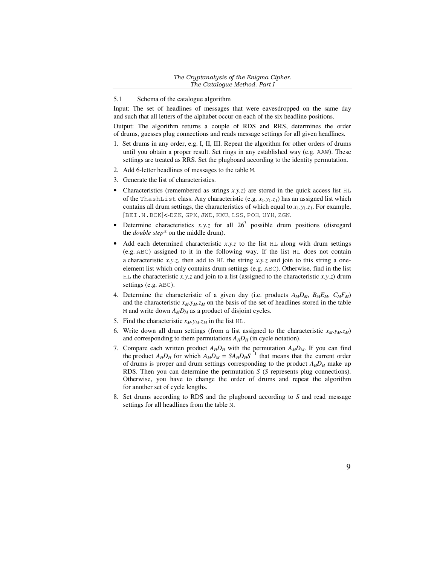### *The Cryptanalysis of the Enigma Cipher. The Catalogue Method. Part I*

## 5.1 Schema of the catalogue algorithm

Input: The set of headlines of messages that were eavesdropped on the same day and such that all letters of the alphabet occur on each of the six headline positions.

Output: The algorithm returns a couple of RDS and RRS, determines the order of drums, guesses plug connections and reads message settings for all given headlines.

- 1. Set drums in any order, e.g. I, II, III. Repeat the algorithm for other orders of drums until you obtain a proper result. Set rings in any established way (e.g. AAW). These settings are treated as RRS. Set the plugboard according to the identity permutation.
- 2. Add 6-letter headlines of messages to the table M.
- 3. Generate the list of characteristics.
- Characteristics (remembered as strings  $x, y, z$ ) are stored in the quick access list  $HL$ of the ThashList class. Any characteristic (e.g.  $x_1,y_1,z_1$ ) has an assigned list which contains all drum settings, the characteristics of which equal to  $x_1, y_1, z_1$ . For example, [BEI.N.BCK]<-DZK, GPX, JWD, KXU, LSS, POH, UYH, ZGN.
- Determine characteristics  $x, y, z$  for all  $26<sup>3</sup>$  possible drum positions (disregard the *double step*\* on the middle drum).
- Add each determined characteristic  $x, y, z$  to the list  $HL$  along with drum settings (e.g. ABC) assigned to it in the following way. If the list HL does not contain a characteristic *x.y.z*, then add to HL the string *x.y.z* and join to this string a oneelement list which only contains drum settings (e.g. ABC). Otherwise, find in the list HL the characteristic *x.y.z* and join to a list (assigned to the characteristic *x.y.z*) drum settings (e.g. ABC).
- 4. Determine the characteristic of a given day (i.e. products  $A_M D_M$ ,  $B_M E_M$ ,  $C_M F_M$ ) and the characteristic  $x_M$ . $y_M$ . $z_M$  on the basis of the set of headlines stored in the table M and write down  $A_M D_M$  as a product of disjoint cycles.
- 5. Find the characteristic  $x_M$ . $y_M$ . $z_M$  in the list HL.
- 6. Write down all drum settings (from a list assigned to the characteristic  $x_M$ . $y_M$ . $z_M$ ) and corresponding to them permutations  $A_H D_H$  (in cycle notation).
- 7. Compare each written product  $A_H D_H$  with the permutation  $A_M D_M$ . If you can find the product  $A_H D_H$  for which  $A_M D_M = S A_H D_H S^{-1}$  that means that the current order of drums is proper and drum settings corresponding to the product  $A_H D_H$  make up RDS. Then you can determine the permutation *S* (*S* represents plug connections). Otherwise, you have to change the order of drums and repeat the algorithm for another set of cycle lengths.
- 8. Set drums according to RDS and the plugboard according to *S* and read message settings for all headlines from the table M.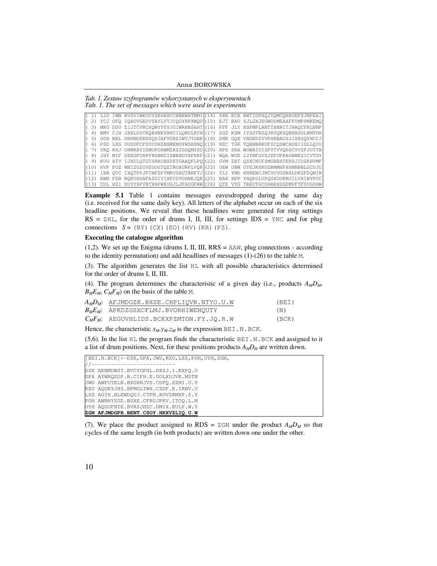Anna BOROWSKA

*Tab. 1. Zestaw szyfrogramów wykorzystanych w eksperymentach Tab. 1. The set of messages which were used in experiments* 

|      |  | LIO IWN BVSVIWKOUYZKHEHCCNBKWHTMMI(14) SXR ECR BWTIDPHOJYOMCOHKUEFSJNPEAI  |  |  |
|------|--|----------------------------------------------------------------------------|--|--|
| 21   |  | YCJ OFO IOAOVGEDVSAYLVTJCOGYRPXWOU (15) EJT BAO SJLGXJEGWODMEAAFFUMPHMKEMO |  |  |
|      |  | MKG DDU ZIJTCVRCXOWYYGYJGIWRHBSAHT (16) FFF JLY NSPMPLANTTXKRITJHAQCFRLNNF |  |  |
|      |  | RMV CJH JAXLOYCKOKHBKSXHCILONOLKVH (17) ZGZ KSM IYSZTRZOJHVOKSORNAGOLBMYHH |  |  |
|      |  | OOH NRL DNHNDEKDDOSJAFVURZIWVJTGBK (18) DNK GOX VNGKDZVVPHRBAUSJJSKGOYHCCJ |  |  |
|      |  | PSD LXS UUSOFCFSYCUHZBSMEMOYWSBSNO (19) NZC TGK YOBBRRKUFZCOSWCAUXIIGLLOIU |  |  |
|      |  | VRO RHJ OHNRXYIDMUPOXWMZRZIGOOMYSD (20) XPS SKA WOWXIOIZFYTVVODSCYVZPJOTTB |  |  |
|      |  | JHY MIF DEEGFUXRYRSBNGISWBXOYXFKKP (21) WOA WUE LVYNFGVSJZFUFRAGBWEZICVTGY |  |  |
| 9)   |  | KUU ATV IJXULOTGTSHKOBZDETGAAOFLPO (22) GYM ZBT OSXCNCFSMGBEHTERSJIDZKHVMF |  |  |
| (10) |  | HVP POZ WNIZUZOVEGOGTOZTROXURPLVOK (23) UEW UNW UYEJKXKOZRMMHPXHNNBBLGCDJU |  |  |
|      |  | IBB OVC IXOTPPJPTNFZPYMRVSAUTBHFTJ (24) TLI YMD HHRENCJMTUOYOSRXLDKZFDONIR |  |  |
|      |  | AWN FEB BOKUHSAFAZGIVIHFCDVUHNEJOK (25) BAX XPP YHOPDLVPOGXOUKROILVXIWYPUC |  |  |
| (13) |  | CDL HZI DUYYSPVBTXHPWXUGJLJFADGFRW (26) OTE VYG TREUTGCDHREXSGDMVFTFDUGOHW |  |  |

**Example 5.1** Table 1 contains messages eavesdropped during the same day (i.e. received for the same daily key). All letters of the alphabet occur on each of the six headline positions. We reveal that these headlines were generated for ring settings  $RS = ZHL$ , for the order of drums I, II, III, for settings  $IDS = YNC$  and for plug connections  $S = (BY)$  (CX) (EO)(HV)(KR)(PZ).

#### **Executing the catalogue algorithm**

(1,2). We set up the Enigma (drums I, II, III, RRS = AAW, plug connections - according to the identity permutation) and add headlines of messages (1)-(26) to the table M.

(3). The algorithm generates the list HL with all possible characteristics determined for the order of drums I, II, III.

(4). The program determines the characteristic of a given day (i.e., products  $A_M D_M$ ,  $B_M E_M$ ,  $C_M F_M$ ) on the basis of the table M.

| $A_MD_M$ : AFJMDGZK.BXSE.CHPLIOVR.NTYO.U.W | (BEI) |
|--------------------------------------------|-------|
| $B_M E_M$ : APKDZGSXCFLMJ.BVORHIWENOUTY    | (N)   |
| $C_MF_M$ : AEGUVHLIDS.BCKXPZMTON.FY.JO.R.W | (BCK) |

Hence, the characteristic  $x_M. y_M. z_M$  is the expression BEI.N.BCK.

 $(5,6)$ . In the list HL the program finds the characteristic BEI.N.BCK and assigned to it a list of drum positions. Next, for these positions products  $A_H D_H$  are written down.

| [BEI.N.BCK]<-DZK, GPX, JWD, KXU, LSS, POH, UYH, ZGN, |
|------------------------------------------------------|
| -------------------------                            |
| DZK AENMUWST.BVCYGFHL.DRZJ.I.KXPO.O                  |
| GPX AYWROZDP.B.CIFH.E.GOLXUJVK.MSTN                  |
| UWD AWFOTKLN.BXGHRJVS.CDPO.EZMI.U.Y                  |
| KXU AOOKYJHS.BPMGLTWX.CZDF.E.IRNV.U                  |
| LSS AGIH.BLEWDOUJ.CTFN.KOVZRMXP.S.Y                  |
| POH AWNHYZGD.BSXE.CFRUJPKV.ITOO.L.M                  |
| UYH AOGOFNTE.BVRSJHZC.DMIX.KULP.W.Y                  |
| ZGN AFJMDGPR.BENT.CSOY.HKXVZLIQ.U.W                  |

(7). We place the product assigned to RDS =  $ZGN$  under the product  $A_MD_M$  so that cycles of the same length (in both products) are written down one under the other.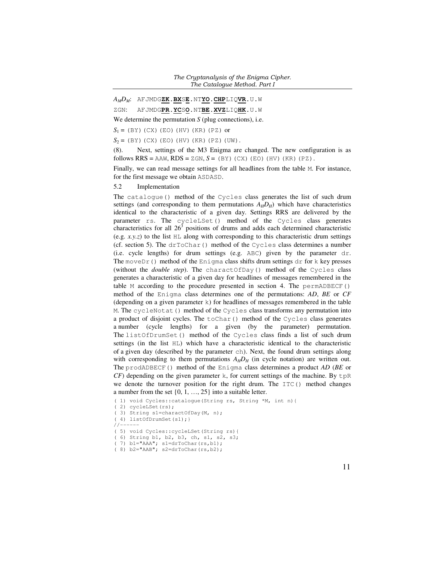#### *The Cryptanalysis of the Enigma Cipher. The Catalogue Method. Part I*

*AMDM*: AFJMDG**ZK**.**BX**S**E**.NT**YO**.**CHP**LIQ**VR**.U.W

ZGN: AFJMDG**PR**.**YC**S**O**.NT**BE**.**XVZ**LIQ**HK**.U.W

We determine the permutation *S* (plug connections), i.e.

 $S_1 = (BY)$  (CX) (EO) (HV) (KR) (PZ) or

 $S_2 = (BY)$  (CX) (EO) (HV) (KR) (PZ) (UW).

(8). Next, settings of the M3 Enigma are changed. The new configuration is as follows  $RRS = AAW$ ,  $RDS = ZGN$ ,  $S = (BY)$  (CX)(EO)(HV)(KR)(PZ).

Finally, we can read message settings for all headlines from the table M. For instance, for the first message we obtain ASDASD.

5.2 Implementation

The catalogue() method of the Cycles class generates the list of such drum settings (and corresponding to them permutations  $A_H D_H$ ) which have characteristics identical to the characteristic of a given day. Settings RRS are delivered by the parameter rs. The cycleLSet() method of the Cycles class generates characteristics for all  $26<sup>3</sup>$  positions of drums and adds each determined characteristic (e.g.  $x,y,z$ ) to the list  $HL$  along with corresponding to this characteristic drum settings (cf. section 5). The  $drToChar$ () method of the Cycles class determines a number (i.e. cycle lengths) for drum settings (e.g. ABC) given by the parameter dr. The moveDr() method of the Enigma class shifts drum settings dr for k key presses (without the *double step*). The charactOfDay() method of the Cycles class generates a characteristic of a given day for headlines of messages remembered in the table M according to the procedure presented in section 4. The permADBECF() method of the Enigma class determines one of the permutations: *AD*, *BE* or *CF* (depending on a given parameter k) for headlines of messages remembered in the table M. The cycleNotat() method of the Cycles class transforms any permutation into a product of disjoint cycles. The  $\text{toChar}(\cdot)$  method of the Cycles class generates a number (cycle lengths) for a given (by the parameter) permutation. The listOfDrumSet() method of the Cycles class finds a list of such drum settings (in the list HL) which have a characteristic identical to the characteristic of a given day (described by the parameter ch). Next, the found drum settings along with corresponding to them permutations  $A_H D_H$  (in cycle notation) are written out. The prodADBECF() method of the Enigma class determines a product *AD* (*BE* or *CF*) depending on the given parameter k, for current settings of the machine. By  $tpR$ we denote the turnover position for the right drum. The  $ITC()$  method changes a number from the set  $\{0, 1, ..., 25\}$  into a suitable letter.

```
( 1) void Cycles::catalogue(String rs, String *M, int n){
```
 $1/1$ 

( 5) void Cycles::cycleLSet(String rs){

( 6) String b1, b2, b3, ch, s1, s2, s3;

<sup>( 2)</sup> cycleLSet(rs);

<sup>( 3)</sup> String s1=charactOfDay(M, n);

<sup>( 4)</sup> listOfDrumSet(s1);}

<sup>( 7)</sup> b1="AAA"; s1=drToChar(rs,b1);

<sup>( 8)</sup>  $b2 = "AAB"; s2 = drToChar(rs, b2);$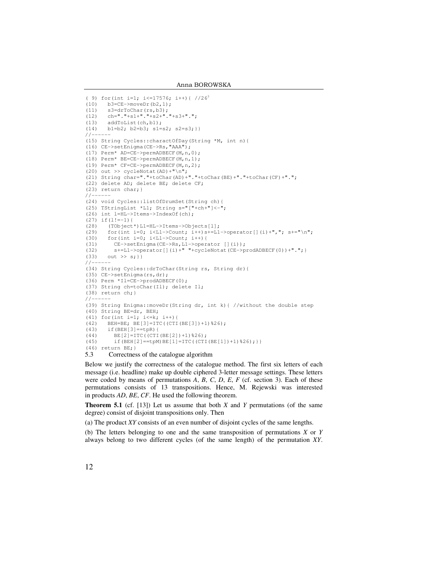```
( 9) for(int i=1; i<=17576; i++){ //263
(10) b3=CE->moveDr(b2,1);(11) s3=drToChar(rs, b3);<br>(12) ch=" . "+s1+". "+s2+".ch="="1" + s1 + "1" + s2 + "1" + s3 + "1"(13) addToList(ch, bl);<br>(14) bl=b2; b2=b3; s1=b1=b2; b2=b3; s1= s2; s2= s3;}
// --(15) String Cycles::charactOfDay(String *M, int n){
(16) CE->setEnigma(CE->Rs,"AAA"); 
(17) Perm* AD=CE->permADBECF(M,n,0); 
(18) Perm* BE=CE->permADBECF(M,n,1); 
(19) Perm* CF=CE->permADBECF(M,n,2); 
(20) out >> cycleNotat(AD)+"\n";
(21) String char="."+toChar(AD)+"."+toChar(BE)+"."+toChar(CF)+"."; 
(22) delete AD; delete BE; delete CF; 
(23) return char;} 
//-(24) void Cycles::listOfDrumSet(String ch){ 
(25) TStringList *L1; String s="["+ch+"]<-"; 
(26) int l=HL->Items->IndexOf(ch);
(27) if (1!=-1) {
(28) (TObject*)L1=HL->Items->Objects[l]; 
(29) for(int i=0; i<L1->Count; i++)s+=L1->operator[](i)+","; s+="\n";
(30) for(int i=0; i<L1->Count; i++){
(31) CE->setEnigma(CE->Rs, L1->operator [](i));<br>(32) s+=L1->operator [](i)*" "+cycleNot (CE->c*)s+=L1->operator[](i)+" "+cycleNotat(CE->prodADBECF(0))+".";}
(33) out >> s;}
// --.(34) String Cycles::drToChar(String rs, String dr){
(35) CE->setEnigma(rs,dr); 
(36) Perm *Il=CE->prodADBECF(0); 
(37) String ch=toChar(Il); delete Il; 
(38) return ch;} 
/ / -(39) String Enigma::moveDr(String dr, int k){ //without the double step 
(40) String BE=dr, BEH; 
(41) for(int i=1; i \le k; i++){
(42) BEH=BE; BE[3]=ITC((CTI(BE[3])+1)%26); 
(43) if(BEH[3] == tpR) {<br>(44) BF[2] = TTC (CTT)(44) BE[2]=ITC((CTI(BE[2])+1)%26);<br>(45) if (BEH[2]==tpM)BE[1]=ITC((CTI
          if(BEH[2] == tpM) BE[1] = ITC((CTI(BE[1]) + 1) % 26);})(46) return BE;}
```
5.3 Correctness of the catalogue algorithm

Below we justify the correctness of the catalogue method. The first six letters of each message (i.e. headline) make up double ciphered 3-letter message settings. These letters were coded by means of permutations *A*, *B*, *C*, *D*, *E*, *F* (cf. section 3). Each of these permutations consists of 13 transpositions. Hence, M. Rejewski was interested in products *AD*, *BE*, *CF*. He used the following theorem.

**Theorem 5.1** (cf. [13]) Let us assume that both *X* and *Y* permutations (of the same degree) consist of disjoint transpositions only. Then

(a) The product *XY* consists of an even number of disjoint cycles of the same lengths.

(b) The letters belonging to one and the same transposition of permutations *X* or *Y* always belong to two different cycles (of the same length) of the permutation *XY*.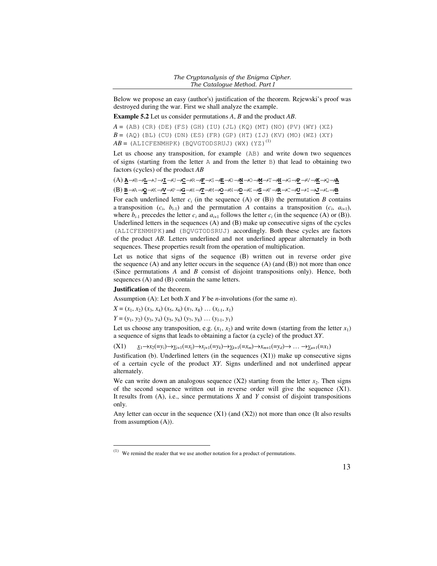Below we propose an easy (author's) justification of the theorem. Rejewski's proof was destroyed during the war. First we shall analyze the example.

**Example 5.2** Let us consider permutations *A*, *B* and the product *AB*.

 $A = (AB)$ (CR)(DE)(FS)(GH)(IU)(JL)(KQ)(MT)(NO)(PV)(WY)(XZ)  $B = (AQ)$ (BL)(CU)(DN)(ES)(FR)(GP)(HT)(IJ)(KV)(MO)(WZ)(XY)  $AB = (ALICFENMHPK) (BQVGTODSRUJ) (WX) (YZ)^{(1)}$ 

Let us choose any transposition, for example (AB) and write down two sequences of signs (starting from the letter A and from the letter B) that lead to obtaining two factors (cycles) of the product *AB*

(A) **A**→B→**L**→J→**I**→U→**C**→R→**F**→S→**E**→D→**N**→O→**M**→T→**H**→G→**P**→V→**K**→Q→**A** (B) **B**→A→**Q**→K→**V**→P→**G**→H→**T**→M→**O**→N→**D**→E→**S**→F→**R**→C→**U**→I→**J**→L→**B**

For each underlined letter  $c_i$  (in the sequence (A) or (B)) the permutation *B* contains a transposition  $(c_i, b_{i-1})$  and the permutation *A* contains a transposition  $(c_i, a_{i+1})$ , where  $b_{i-1}$  precedes the letter  $c_i$  and  $a_{i+1}$  follows the letter  $c_i$  (in the sequence (A) or (B)). Underlined letters in the sequences (A) and (B) make up consecutive signs of the cycles (ALICFENMHPK)and (BQVGTODSRUJ) accordingly. Both these cycles are factors of the product *AB*. Letters underlined and not underlined appear alternately in both sequences. These properties result from the operation of multiplication.

Let us notice that signs of the sequence (B) written out in reverse order give the sequence  $(A)$  and any letter occurs in the sequence  $(A)$  (and  $(B)$ ) not more than once (Since permutations *A* and *B* consist of disjoint transpositions only). Hence, both sequences (A) and (B) contain the same letters.

#### **Justification** of the theorem.

 $\overline{a}$ 

Assumption (A): Let both *X* and *Y* be *n*-involutions (for the same *n*).

 $X = (x_1, x_2) (x_3, x_4) (x_5, x_6) (x_7, x_8) \ldots (x_{l-1}, x_1)$ 

*Y* = (*y*<sub>1</sub>, *y*<sub>2</sub>) (*y*<sub>3</sub>, *y*<sub>4</sub>) (*y*<sub>5</sub>, *y*<sub>6</sub>) (*y*<sub>7</sub>, *y*<sub>8</sub>) ... (*y*<sub>*l*-1</sub>, *y*<sub>1</sub>)

Let us choose any transposition, e.g.  $(x_1, x_2)$  and write down (starting from the letter  $x_1$ ) a sequence of signs that leads to obtaining a factor (a cycle) of the product *XY*.

 $(X1)$   $\underline{x_1 \rightarrow x_2} (=y_i) \rightarrow \underline{y_{i+1}} (=x_i) \rightarrow x_{i+1} (=y_k) \rightarrow \underline{y_{k+1}} (=x_m) \rightarrow x_{m+1} (=y_d) \rightarrow \dots \rightarrow \underline{y_{u+1}} (=x_1)$ 

Justification (b). Underlined letters (in the sequences  $(X1)$ ) make up consecutive signs of a certain cycle of the product *XY*. Signs underlined and not underlined appear alternately.

We can write down an analogous sequence  $(X2)$  starting from the letter  $x_2$ . Then signs of the second sequence written out in reverse order will give the sequence  $(X1)$ . It results from (A), i.e., since permutations *X* and *Y* consist of disjoint transpositions only.

Any letter can occur in the sequence  $(X1)$  (and  $(X2)$ ) not more than once (It also results from assumption (A)).

 $(1)$  We remind the reader that we use another notation for a product of permutations.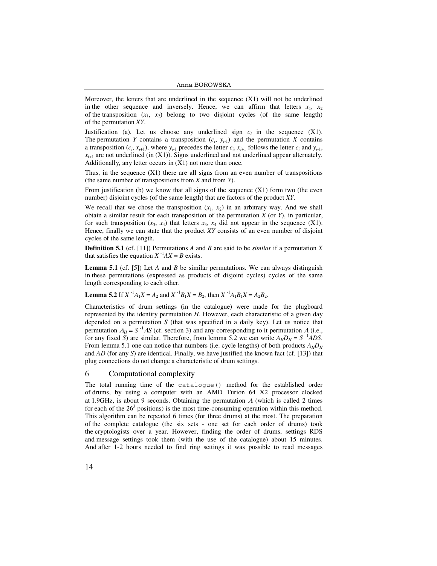Anna BOROWSKA

Moreover, the letters that are underlined in the sequence  $(X1)$  will not be underlined in the other sequence and inversely. Hence, we can affirm that letters  $x_1$ ,  $x_2$ of the transposition  $(x_1, x_2)$  belong to two disjoint cycles (of the same length) of the permutation *XY*.

Justification (a). Let us choose any underlined sign  $c_i$  in the sequence  $(X1)$ . The permutation *Y* contains a transposition  $(c_i, y_{i-1})$  and the permutation *X* contains a transposition  $(c_i, x_{i+1})$ , where  $y_{i-1}$  precedes the letter  $c_i, x_{i+1}$  follows the letter  $c_i$  and  $y_{i-1}$ ,  $x_{i+1}$  are not underlined (in  $(X1)$ ). Signs underlined and not underlined appear alternately. Additionally, any letter occurs in (X1) not more than once.

Thus, in the sequence  $(X1)$  there are all signs from an even number of transpositions (the same number of transpositions from *X* and from *Y*).

From justification (b) we know that all signs of the sequence  $(X1)$  form two (the even number) disjoint cycles (of the same length) that are factors of the product *XY*.

We recall that we chose the transposition  $(x_1, x_2)$  in an arbitrary way. And we shall obtain a similar result for each transposition of the permutation *X* (or *Y*), in particular, for such transposition  $(x_3, x_4)$  that letters  $x_3, x_4$  did not appear in the sequence  $(X1)$ . Hence, finally we can state that the product *XY* consists of an even number of disjoint cycles of the same length.

**Definition 5.1** (cf. [11]) Permutations *A* and *B* are said to be *similar* if a permutation *X* that satisfies the equation  $X^{-1}AX = B$  exists.

**Lemma 5.1** (cf. [5]) Let *A* and *B* be similar permutations. We can always distinguish in these permutations (expressed as products of disjoint cycles) cycles of the same length corresponding to each other.

**Lemma 5.2** If  $X^{-1}A_1X = A_2$  and  $X^{-1}B_1X = B_2$ , then  $X^{-1}A_1B_1X = A_2B_2$ .

Characteristics of drum settings (in the catalogue) were made for the plugboard represented by the identity permutation *H*. However, each characteristic of a given day depended on a permutation *S* (that was specified in a daily key). Let us notice that permutation  $A_H = S^{-1}AS$  (cf. section 3) and any corresponding to it permutation  $\Lambda$  (i.e., for any fixed *S*) are similar. Therefore, from lemma 5.2 we can write  $A_H D_H = S^{-1} A D S$ . From lemma 5.1 one can notice that numbers (i.e. cycle lengths) of both products  $A_H D_H$ and *AD* (for any *S*) are identical. Finally, we have justified the known fact (cf. [13]) that plug connections do not change a characteristic of drum settings.

#### 6 Computational complexity

The total running time of the catalogue() method for the established order of drums, by using a computer with an AMD Turion 64 X2 processor clocked at 1.9GHz, is about 9 seconds. Obtaining the permutation  $\Lambda$  (which is called 2 times for each of the  $26<sup>3</sup>$  positions) is the most time-consuming operation within this method. This algorithm can be repeated 6 times (for three drums) at the most. The preparation of the complete catalogue (the six sets - one set for each order of drums) took the cryptologists over a year. However, finding the order of drums, settings RDS and message settings took them (with the use of the catalogue) about 15 minutes. And after 1-2 hours needed to find ring settings it was possible to read messages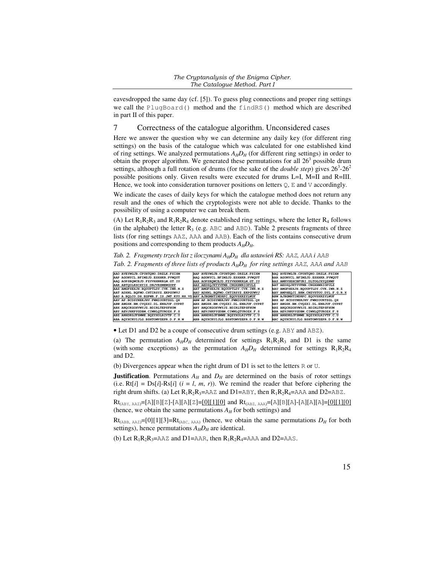eavesdropped the same day (cf. [5]). To guess plug connections and proper ring settings we call the PlugBoard() method and the findRS() method which are described in part II of this paper.

## 7 Correctness of the catalogue algorithm. Unconsidered cases

Here we answer the question why we can determine any daily key (for different ring settings) on the basis of the catalogue which was calculated for one established kind of ring settings. We analyzed permutations  $A_H D_H$  (for different ring settings) in order to obtain the proper algorithm. We generated these permutations for all  $26<sup>3</sup>$  possible drum settings, although a full rotation of drums (for the sake of the *double step*) gives  $26^3$ - $26^2$ possible positions only. Given results were executed for drums L=I, M=II and R=III. Hence, we took into consideration turnover positions on letters  $Q$ ,  $E$  and  $V$  accordingly.

We indicate the cases of daily keys for which the catalogue method does not return any result and the ones of which the cryptologists were not able to decide. Thanks to the possibility of using a computer we can break them.

(A) Let  $R_1R_2R_3$  and  $R_1R_2R_4$  denote established ring settings, where the letter  $R_4$  follows (in the alphabet) the letter  $R_3$  (e.g. ABC and ABD). Table 2 presents fragments of three lists (for ring settings AAZ, AAA and AAB). Each of the lists contains consecutive drum positions and corresponding to them products  $A_H D_H$ .

*Tab. 2. Fragmenty trzech list z iloczynami AHDH dla ustawień RS:* AAZ*,* AAA *i* AAB *Tab.* 2. Fragments of three lists of products  $A<sub>H</sub>D<sub>H</sub>$  for ring settings AAZ, AAA and AAB



• Let D1 and D2 be a coupe of consecutive drum settings (e.g. ABY and ABZ).

(a) The permutation  $A_H D_H$  determined for settings  $R_1 R_2 R_3$  and D1 is the same (with some exceptions) as the permutation  $A_H D_H$  determined for settings  $R_1 R_2 R_4$ and D2.

(b) Divergences appear when the right drum of D1 is set to the letters R or U.

**Justification**. Permutations  $A_H$  and  $D_H$  are determined on the basis of rotor settings (i.e.  $Rt[i] = Ds[i]-Rs[i]$  ( $i = l, m, r$ )). We remind the reader that before ciphering the right drum shifts. (a) Let  $R_1R_2R_3 = AAZ$  and D1=ABY, then  $R_1R_2R_4 = AAA$  and D2=ABZ.

 $Rt_{(ABY, AAZ)}=[A][B][Z]-[A][A][Z]=[0][1][0]$  and  $Rt_{(ABZ, AAA)}=[A][B][A]-[A][A][A]=[0][1][0]$ (hence, we obtain the same permutations  $A_H$  for both settings) and

 $Rt_{(ABB, AAZ)} = [0][1][3] = Rt_{(ABC, AAA)}$  (hence, we obtain the same permutations  $D_H$  for both settings), hence permutations  $A_H D_H$  are identical.

(b) Let  $R_1R_2R_3$ =AAZ and D1=AAR, then  $R_1R_2R_4$ =AAA and D2=AAS.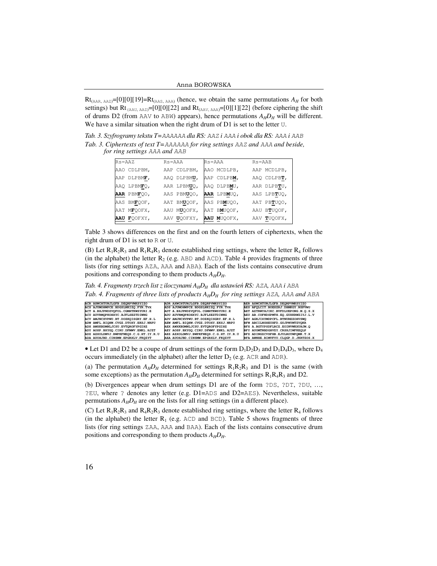Anna BOROWSKA

 $Rt_{(AAR, AAZ)} = [0][0][19] = Rt_{(AAS, AAA)}$  (hence, we obtain the same permutations  $A_H$  for both settings) but Rt<sub>(AAU, AAZ)</sub>=[0][0][22] and Rt<sub>(AAV, AAA)</sub>=[0][1][22] (before ciphering the shift of drums D2 (from AAV to ABW) appears), hence permutations  $A_H D_H$  will be different. We have a similar situation when the right drum of D1 is set to the letter U.

*Tab. 3. Szyfrogramy tekstu T=*AAAAAA *dla RS:* AAZ *i* AAA *i obok dla RS:* AAA *i* AAB *Tab. 3. Ciphertexts of text T=*AAAAAA *for ring settings* AAZ *and* AAA *and beside, for ring settings* AAA *and* AAB

| $Rs = AAZ$ |             | Rs=AAA |             | Rs=AAA |             | $Rs = AAB$ |             |  |  |
|------------|-------------|--------|-------------|--------|-------------|------------|-------------|--|--|
|            | AAO CDLPBM, |        | AAP CDLPBM, |        | AAO MCDLPB, |            | AAP MCDLPB, |  |  |
|            | AAP DLPBMF, |        | AAQ DLPBMU, |        | AAP CDLPBM, |            | AAO CDLPBT, |  |  |
|            | AAO LPBMFO, |        | AAR LPBMUO, |        | AAO DLPBMU, |            | AAR DLPBTU, |  |  |
|            | AAR PBMFOO, |        | AAS PBMUOO, |        | AAR LPBMUO, |            | AAS LPBTUO, |  |  |
|            | AAS BMFOOF, |        | AAT BMUOOF, |        | AAS PBMUOO, |            | AAT PBTUOO, |  |  |
|            | AAT MFQOFX, |        | AAU MUOOFX, |        | AAT BMUOOF, |            | AAU BTUOOF, |  |  |
|            | AAU FOOFXY, |        | AAV UOOFXY. |        | AAU MUOOFX. |            | AAV TUOOFX, |  |  |

Table 3 shows differences on the first and on the fourth letters of ciphertexts, when the right drum of D1 is set to R or U.

(B) Let  $R_1R_2R_3$  and  $R_1R_4R_3$  denote established ring settings, where the letter  $R_4$  follows (in the alphabet) the letter  $R_2$  (e.g. ABD and ACD). Table 4 provides fragments of three lists (for ring settings AZA, AAA and ABA). Each of the lists contains consecutive drum positions and corresponding to them products  $A_H D_H$ .

*Tab. 4. Fragmenty trzech list z iloczynami AHDH dla ustawień RS:* AZA*,* AAA *i* ABA *Tab. 4. Fragments of three lists of products AHDH for ring settings* AZA*,* AAA *and* ABA

| ACR AXWCHTUNJLGFB.DEORPVMKSYIZO          | ADR AXWCHTUNJLGFB.DEORPVMKSYIZO       | AER AXWCHTUNJLGFB.DEORPVMKSYIZO          |
|------------------------------------------|---------------------------------------|------------------------------------------|
| ACS AJUMOHWPCE.BDGSLNKIZO.FYR.TVX        | ADS AJUMOHWPCE.BDGSLNKIZO.FYR.TVX     | AES AFQLCIT. BOEXZRJ. DHMKGY. NSPVWU     |
| ACT A.BXJPNDZVOFOL.CGMHTKWSYURI.E        | ADT A.BXJPNDZVOFOL.CGMHTKWSYURI.E     | AET AZTRWYHJIKC.BVFDLUEPONG.M.O.S.X      |
| ACU AUVRMOPKOHXYC.BJFLSEZTDIWNG          | ADU AUVRMOPKOHXYC.BJFLSEZTDIWNG       | AEU AB. COFNDSPMTH. EO. GUXKRWZIYJ. L. V |
| ACV AMJNCXVPWU.BT.DOZKOISGRY.EF.H.L      | ADV AMJNCXVPWU.BT.DOZKOISGRY.EF.H.L   | AEV AGKJIXYMDPCFL.BTNUREZOHVSWO          |
| ADW AMFL.BIOHW.CVGZ.DTOXY.EKSJ.NRPU      | AEW AMFL.BIOHW.CVGZ.DTOXY.EKSJ.NRPU   | BFW ABCILNSHEUXFD. GOJPWYMTZVOKR         |
| ADX AWXKBDMNLJCSU.EVTOROFYPGIHZ          | AEX AWXKBDMNLJCSU.EVTOROFYPGIHZ       | BFX A.BGTYPSDFLRCZ.EOINVWKXUHJM.O        |
| ADY AOSP. BXYGQ. CIRU. DFMWV. ENKL. HJZT | AEY AOSP.BXYGO.CIRU.DFMWV.ENKL.HJZT   | BFY AUOMTNBDGHVZY.CRSXJIWFKEOLP          |
| ADZ AZXOLDMVJ.BWPKFNEOS.C.G.HT.IY.R.U    | AEZ AZXOLDMVJ.BWPKFNEOS.C.G.HT.IY.R.U | BFZ ADINGZCVSFHB.EJULROYWPOMK.T.X        |
| ADA AUOHJBD.CINSMW.EPGRXLV.FKOZYT        | AEA AUOHJBD.CINSMW.EPGRXLV.FKOZYT     | BFA AWNHE.BIMVFYU.CLOGP.D.JKRTZOS.X      |

• Let D1 and D2 be a coupe of drum settings of the form  $D_1D_2D_3$  and  $D_1D_4D_3$ , where  $D_4$ occurs immediately (in the alphabet) after the letter  $D_2$  (e.g. ACR and ADR).

(a) The permutation  $A_H D_H$  determined for settings  $R_1 R_2 R_3$  and D1 is the same (with some exceptions) as the permutation  $A_H D_H$  determined for settings  $R_1 R_4 R_3$  and D2.

(b) Divergences appear when drum settings D1 are of the form ?DS, ?DT, ?DU, …, ?EU, where ? denotes any letter (e.g. D1=ADS and D2=AES). Nevertheless, suitable permutations  $A_H D_H$  are on the lists for all ring settings (in a different place).

(C) Let  $R_1R_2R_3$  and  $R_4R_2R_3$  denote established ring settings, where the letter  $R_4$  follows (in the alphabet) the letter  $R_1$  (e.g. ACD and BCD). Table 5 shows fragments of three lists (for ring settings ZAA, AAA and BAA). Each of the lists contains consecutive drum positions and corresponding to them products  $A_H D_H$ .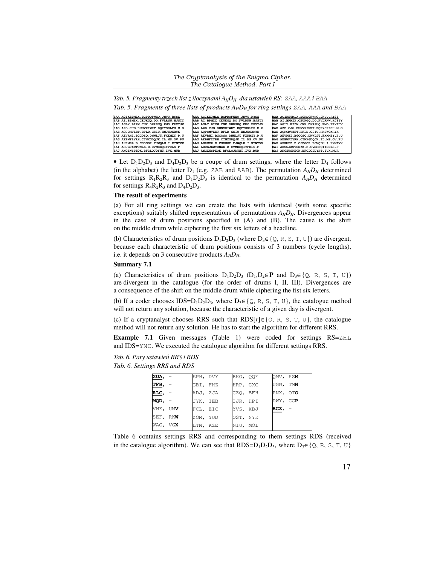*The Cryptanalysis of the Enigma Cipher. The Catalogue Method. Part I* 

*Tab. 5. Fragmenty trzech list z iloczynami AHDH dla ustawień RS:* ZAA*,* AAA *i* BAA *Tab. 5. Fragments of three lists of products AHDH for ring settings* ZAA*,* AAA *and* BAA

| ZAA ACIKETMLX.BGPDOFWHO.JNVU.RYSZ   | AAA ACIKETMLX.BGPDOFWHQ.JNVU.RYSZ   | BAA ACIKETMLX.BGPDOFWHO.JNVU.RYSZ   |
|-------------------------------------|-------------------------------------|-------------------------------------|
| ZAB AI.BPMZX.CEUKGO.DO.FVLRNW.HJSTY | AAB AI.BPMZX.CEUKGO.DO.FVLRNW.HJSTY | BAB AI.BPMZX.CEUKGO.DO.FVLRNW.HJSTY |
| ZAC AGLY.BIZW.CNK.DHRSUO.EMO.FPXTJV | AAC AGLY.BIZW.CNK.DHRSUO.EMO.FPXTJV | BAC AGLY.BIZW.CNK.DHRSUO.EMO.FPXTJV |
| ZAD AZB.CJG.DUNVXIWKT.EOPYSRLFH.M.O | AAD AZB.CJG.DUNVXIWKT.EOPYSRLFH.M.O | BAD AZB.CJG.DUNVXIWKT.EOPYSRLFH.M.O |
| ZAE AOPCMVZET.BFLD.GSIU.HNJWOXRYK   | AAE AOPCMVZET.BFLD.GSIU.HNJWOXRYK   | BAE AOPCMVZET.BFLD.GSIU.HNJWOXRYK   |
| ZAF AEVRHI.BGCOSO.DNWLJT.FXKMZY.P.U | AAF AEVRHI.BGCOSO.DNWLJT.FXKMZY.P.U | BAF AEVRHI.BGCOSO.DNWLJT.FXKMZY.P.U |
| ZAG AEBWFZYRH.CTNXGDQJK.IL.MS.OV.PU | AAG AEBWFZYRH.CTNXGDQJK.IL.MS.OV.PU | BAG AEBWFZYRH.CTNXGDOJK.IL.MS.OV.PU |
| ZAH AHRMEZ.B.CSDGOP.FJWOLU.I.KYNTVX | AAH AHRMEZ.B.CSDGOP.FJWOLU.I.KYNTVX | BAH AHRMEZ.B.CSDGOP.FJWOLU.I.KYNTVX |
| ZAI ARUGJXWTONZK.B.CVMHEOIYPDLS.F   | AAI ARUGJXWTONZK.B.CVMHEOIYPDLS.F   | BAI ARUGJXWTONZK.B.CVMHEOIYPDLS.F   |
| ZAJ ANGZWSPEOK.BFCLOJDYHT.IVX.MUR   | AAJ ANGZWSPEOK.BFCLOJDYHT.IVX.MUR   | BAJ ANGZWSPEOK.BFCLOJDYHT.IVX.MUR   |

• Let  $D_1D_2D_3$  and  $D_4D_2D_3$  be a coupe of drum settings, where the letter  $D_4$  follows (in the alphabet) the letter  $D_1$  (e.g. ZAB and AAB). The permutation  $A_H D_H$  determined for settings  $R_1R_2R_3$  and  $D_1D_2D_3$  is identical to the permutation  $A_HD_H$  determined for settings  $R_4R_2R_3$  and  $D_4D_2D_3$ .

#### **The result of experiments**

(a) For all ring settings we can create the lists with identical (with some specific exceptions) suitably shifted representations of permutations *AHDH*. Divergences appear in the case of drum positions specified in (A) and (B). The cause is the shift on the middle drum while ciphering the first six letters of a headline.

(b) Characteristics of drum positions  $D_1D_2D_3$  (where  $D_3 \in \{Q, R, S, T, U\}$ ) are divergent, because each characteristic of drum positions consists of 3 numbers (cycle lengths), i.e. it depends on 3 consecutive products  $A_H D_H$ .

### **Summary 7.1**

(a) Characteristics of drum positions  $D_1D_2D_3$  ( $D_1, D_2 \in \mathbf{P}$  and  $D_3 \in \{Q, R, S, T, U\}$ ) are divergent in the catalogue (for the order of drums I, II, III). Divergences are a consequence of the shift on the middle drum while ciphering the fist six letters.

(b) If a coder chooses IDS= $D_1D_2D_3$ , where  $D_3 \in \{Q, R, S, T, U\}$ , the catalogue method will not return any solution, because the characteristic of a given day is divergent.

(c) If a cryptanalyst chooses RRS such that RDS[*r*]∈{Q, R, S, T, U}, the catalogue method will not return any solution. He has to start the algorithm for different RRS.

**Example 7.1** Given messages (Table 1) were coded for settings RS=ZHL and IDS=YNC. We executed the catalogue algorithm for different settings RRS.

*Tab. 6. Pary ustawień RRS i RDS* 

*Tab. 6. Settings RRS and RDS*

| XUA, -      | EPH, DVY | RKO, OOF | QMV, PSM    |  |
|-------------|----------|----------|-------------|--|
| $TFB, -$    | GBI, FHZ | HRP, GXG | UGW, TMN    |  |
| $RLC$ , $-$ | ADJ, ZJA | CZO, BFH | PNX, OTO    |  |
| MQD, —      | JYK, IEB | IJR, HPI | DWY, CCP    |  |
| VHE, UMV    | FCL, EIC | YVS, XBJ | $BCZ$ , $-$ |  |
| SEF, RKW    | ZOM, YUD | OST, NYK |             |  |
| WAG, VGX    | LTN, KZE | NIU, MOL |             |  |
|             |          |          |             |  |

Table 6 contains settings RRS and corresponding to them settings RDS (received in the catalogue algorithm). We can see that RDS= $D_1D_2D_3$ , where  $D_3 \in \{Q, R, S, T, U\}$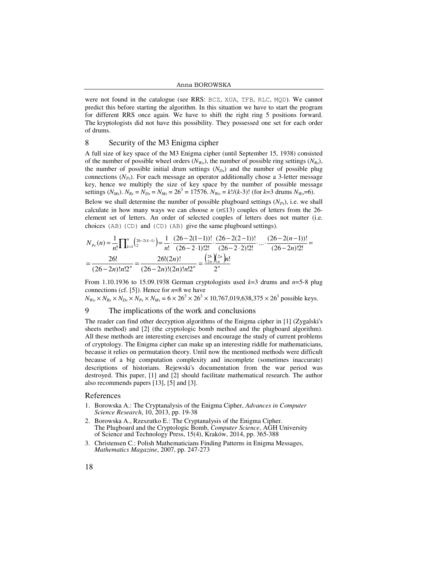were not found in the catalogue (see RRS: BCZ, XUA, TFB, RLC, MQD). We cannot predict this before starting the algorithm. In this situation we have to start the program for different RRS once again. We have to shift the right ring 5 positions forward. The kryptologists did not have this possibility. They possessed one set for each order of drums.

#### 8 Security of the M3 Enigma cipher

A full size of key space of the M3 Enigma cipher (until September 15, 1938) consisted of the number of possible wheel orders  $(N_{W_0})$ , the number of possible ring settings  $(N_{R_s})$ , the number of possible initial drum settings  $(N_{D<sub>s</sub>})$  and the number of possible plug connections  $(N_{Ps})$ . For each message an operator additionally chose a 3-letter message key, hence we multiply the size of key space by the number of possible message settings  $(N_{Ms})$ .  $N_{Rs} = N_{Ds} = N_{Ms} = 26^3 = 17576$ .  $N_{Wo} = k!/(k-3)!$  (for  $k=3$  drums  $N_{Wo}=6$ ).

Below we shall determine the number of possible plugboard settings  $(N_{Ps})$ , i.e. we shall calculate in how many ways we can choose  $n$  ( $n \leq 13$ ) couples of letters from the 26element set of letters. An order of selected couples of letters does not matter (i.e. choices (AB)(CD) and (CD)(AB) give the same plugboard settings).

$$
N_{P_s}(n) = \frac{1}{n!} \prod_{k=1}^{n} {26 - 2(k-1) \choose 2} = \frac{1}{n!} \cdot \frac{(26 - 2(1-1))!}{(26 - 2 \cdot 1)!} \cdot \frac{(26 - 2(2-1))!}{(26 - 2 \cdot 2)!} \cdot \dots \cdot \frac{(26 - 2(n-1))!}{(26 - 2n)!2!} = \frac{26!}{(26 - 2n)!n!2^n} = \frac{26!(2n)!}{(26 - 2n)!(2n)!n!2^n} = \frac{{26} \choose 2n} {2^n} n!
$$

From 1.10.1936 to 15.09.1938 German cryptologists used *k*=3 drums and *n*=5-8 plug connections (cf. [5]). Hence for *n*=8 we have

 $N_{W_O} \times N_{Rs} \times N_{Ds} \times N_{Ps} \times N_{Ms} = 6 \times 26^3 \times 26^3 \times 10,767,019,638,375 \times 26^3$  possible keys.

## The implications of the work and conclusions

The reader can find other decryption algorithms of the Enigma cipher in [1] (Zygalski's sheets method) and [2] (the cryptologic bomb method and the plugboard algorithm). All these methods are interesting exercises and encourage the study of current problems of cryptology. The Enigma cipher can make up an interesting riddle for mathematicians, because it relies on permutation theory. Until now the mentioned methods were difficult because of a big computation complexity and incomplete (sometimes inaccurate) descriptions of historians. Rejewski's documentation from the war period was destroyed. This paper, [1] and [2] should facilitate mathematical research. The author also recommends papers [13], [5] and [3].

### References

- 1. Borowska A.: The Cryptanalysis of the Enigma Cipher, *Advances in Computer Science Research*, 10, 2013, pp. 19-38
- 2. Borowska A., Rzeszutko E.: The Cryptanalysis of the Enigma Cipher. The Plugboard and the Cryptologic Bomb, *Computer Science*, AGH University of Science and Technology Press, 15(4), Kraków, 2014, pp. 365-388
- 3. Christensen C.: Polish Mathematicians Finding Patterns in Enigma Messages, *Mathematics Magazine*, 2007, pp. 247-273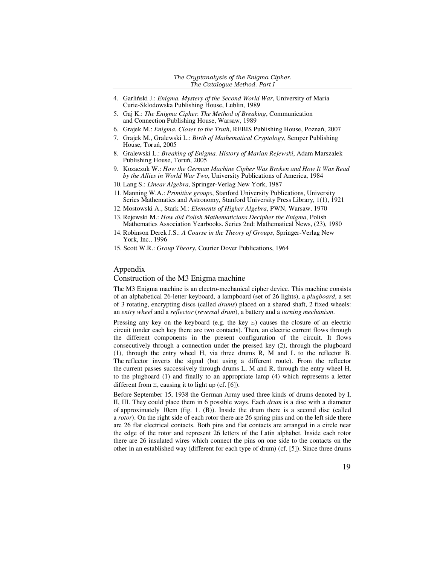- 4. Garliński J.: *Enigma. Mystery of the Second World War*, University of Maria Curie-Sklodowska Publishing House, Lublin, 1989
- 5. Gaj K.: *The Enigma Cipher. The Method of Breaking*, Communication and Connection Publishing House, Warsaw, 1989
- 6. Grajek M.: *Enigma. Closer to the Truth*, REBIS Publishing House, Poznań, 2007
- 7. Grajek M., Gralewski L.: *Birth of Mathematical Cryptology*, Semper Publishing House, Toruń, 2005
- 8. Gralewski L.: *Breaking of Enigma. History of Marian Rejewski*, Adam Marszalek Publishing House, Toruń, 2005
- 9. Kozaczuk W.: *How the German Machine Cipher Was Broken and How It Was Read by the Allies in World War Two*, University Publications of America, 1984
- 10. Lang S.: *Linear Algebra*, Springer-Verlag New York, 1987
- 11. Manning W.A.: *Primitive groups*, Stanford University Publications, University Series Mathematics and Astronomy, Stanford University Press Library, 1(1), 1921
- 12. Mostowski A., Stark M.: *Elements of Higher Algebra*, PWN, Warsaw, 1970
- 13. Rejewski M.: *How did Polish Mathematicians Decipher the Enigma*, Polish Mathematics Association Yearbooks. Series 2nd: Mathematical News, (23), 1980
- 14. Robinson Derek J.S.: *A Course in the Theory of Groups*, Springer-Verlag New York, Inc., 1996
- 15. Scott W.R.: *Group Theory*, Courier Dover Publications, 1964

#### Appendix

## Construction of the M3 Enigma machine

The M3 Enigma machine is an electro-mechanical cipher device. This machine consists of an alphabetical 26-letter keyboard, a lampboard (set of 26 lights), a *plugboard*, a set of 3 rotating, encrypting discs (called *drums*) placed on a shared shaft, 2 fixed wheels: an *entry wheel* and a *reflector* (*reversal drum*), a battery and a *turning mechanism*.

Pressing any key on the keyboard (e.g. the key  $E$ ) causes the closure of an electric circuit (under each key there are two contacts). Then, an electric current flows through the different components in the present configuration of the circuit. It flows consecutively through a connection under the pressed key (2), through the plugboard (1), through the entry wheel H, via three drums R, M and L to the reflector B. The reflector inverts the signal (but using a different route). From the reflector the current passes successively through drums L, M and R, through the entry wheel H, to the plugboard (1) and finally to an appropriate lamp (4) which represents a letter different from E, causing it to light up (cf. [6]).

Before September 15, 1938 the German Army used three kinds of drums denoted by I, II, III. They could place them in 6 possible ways. Each *drum* is a disc with a diameter of approximately 10cm (fig. 1. (B)). Inside the drum there is a second disc (called a *rotor*). On the right side of each rotor there are 26 spring pins and on the left side there are 26 flat electrical contacts. Both pins and flat contacts are arranged in a circle near the edge of the rotor and represent 26 letters of the Latin alphabet. Inside each rotor there are 26 insulated wires which connect the pins on one side to the contacts on the other in an established way (different for each type of drum) (cf. [5]). Since three drums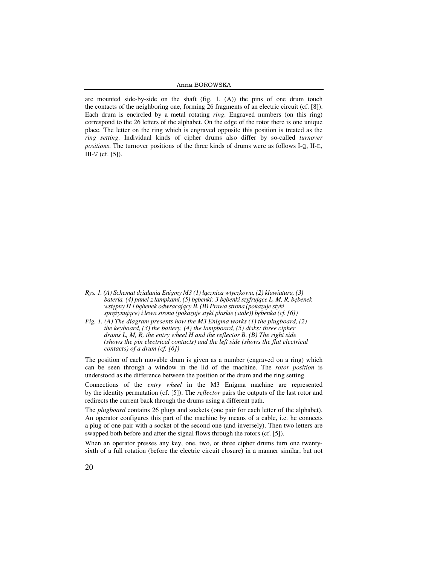#### Anna BOROWSKA

are mounted side-by-side on the shaft (fig. 1. (A)) the pins of one drum touch the contacts of the neighboring one, forming 26 fragments of an electric circuit (cf. [8]). Each drum is encircled by a metal rotating *ring*. Engraved numbers (on this ring) correspond to the 26 letters of the alphabet. On the edge of the rotor there is one unique place. The letter on the ring which is engraved opposite this position is treated as the *ring setting*. Individual kinds of cipher drums also differ by so-called turnover positions. The turnover positions of the three kinds of drums were as follows I-Q, II-E,  $III-V$  (cf. [5]). 1 side-by-side on the shaft (fig. 1. (A)) the pins of one drum touch of the neighboring one, forming 26 fragments of an electric circuit (cf. [8]). is encircled by a metal rotating *ring*. Engraved numbers (on this ring) 26 letters of the alphabet. On the edge of the rotor there is one unique on the ring which is engraved opposite this position is treated as the lividual kinds of cipher drums also differ by so-called *turnover* 



- *Rys. 1. (A) Schemat działania Enigmy M3 (1) ł ącznica wtyczkowa, (2) klawiatura, (3) bateria, (4) panel z lampkami, (5) b ębenki: 3 bębenki szyfrujące L, M, R, bębenek wstępny H i bębenek odwracaj ący B. (B) Prawa strona (pokazuje styki sprężynujące) i lewa strona (pokazuje styki płaskie (stałe)) b trona ębenka (cf. [6])*
- *Fig. 1. (A) The diagram presents how the M3 Enigma works (1) the plugboard, (2) the keyboard, (3) the battery, (4) the lampboard, (5) disks: three cipher (A) The diagram presents how the M3 Enigma works (1) the plugboard, the keyboard, (3) the battery, (4) the lampboard, (5) disks: three cipher drums L, M, R, the entry wheel H and the reflector B. (B) The right side (shows the pin electrical contacts) and the left side (shows the flat electrical contacts) of a drum (cf. [6]) (cf.*

The position of each movable drum is given as a number (engraved on a ring) which can be seen through a window in the lid of the machine. The *rotor position* is can be seen through a window in the lid of the machine. The *rotor position* is understood as the difference between the position of the drum and the ring setting.

Connections of the *entry wheel* in the M3 Enigma machine are represented by the identity permutation (cf. [5]). The *reflector* pairs the outputs of the last rotor and redirects the current back through the drums using a different path.

The *plugboard* contains 26 plugs and sockets (one pair for each letter of the alphabet). The *plugboard* contains 26 plugs and sockets (one pair for each letter of the alphabet).<br>An operator configures this part of the machine by means of a cable, i.e. he connects a plug of one pair with a socket of the second one (and inversely). Then two letters are a plug of one pair with a socket of the second one (and inversely). Then t<br>swapped both before and after the signal flows through the rotors (cf. [5]).

When an operator presses any key, one, two, or three cipher drums turn one twentysixth of a full rotation (before the electric circuit closure) in a manner similar, but not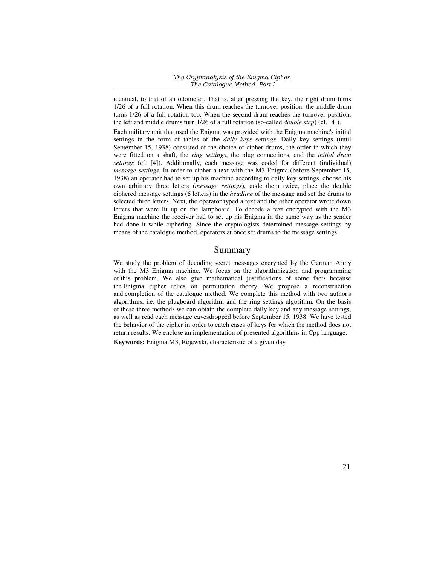### *The Cryptanalysis of the Enigma Cipher. The Catalogue Method. Part I*

identical, to that of an odometer. That is, after pressing the key, the right drum turns 1/26 of a full rotation. When this drum reaches the turnover position, the middle drum turns 1/26 of a full rotation too. When the second drum reaches the turnover position, the left and middle drums turn 1/26 of a full rotation (so-called *double step*) (cf. [4]).

Each military unit that used the Enigma was provided with the Enigma machine's initial settings in the form of tables of the *daily keys settings*. Daily key settings (until September 15, 1938) consisted of the choice of cipher drums, the order in which they were fitted on a shaft, the *ring settings*, the plug connections, and the *initial drum settings* (cf. [4]). Additionally, each message was coded for different (individual) *message settings*. In order to cipher a text with the M3 Enigma (before September 15, 1938) an operator had to set up his machine according to daily key settings, choose his own arbitrary three letters (*message settings*), code them twice, place the double ciphered message settings (6 letters) in the *headline* of the message and set the drums to selected three letters. Next, the operator typed a text and the other operator wrote down letters that were lit up on the lampboard. To decode a text encrypted with the M3 Enigma machine the receiver had to set up his Enigma in the same way as the sender had done it while ciphering. Since the cryptologists determined message settings by means of the catalogue method, operators at once set drums to the message settings.

## Summary

We study the problem of decoding secret messages encrypted by the German Army with the M3 Enigma machine. We focus on the algorithmization and programming of this problem. We also give mathematical justifications of some facts because the Enigma cipher relies on permutation theory. We propose a reconstruction and completion of the catalogue method. We complete this method with two author's algorithms, i.e. the plugboard algorithm and the ring settings algorithm. On the basis of these three methods we can obtain the complete daily key and any message settings, as well as read each message eavesdropped before September 15, 1938. We have tested the behavior of the cipher in order to catch cases of keys for which the method does not return results. We enclose an implementation of presented algorithms in Cpp language.

**Keywords:** Enigma M3, Rejewski, characteristic of a given day